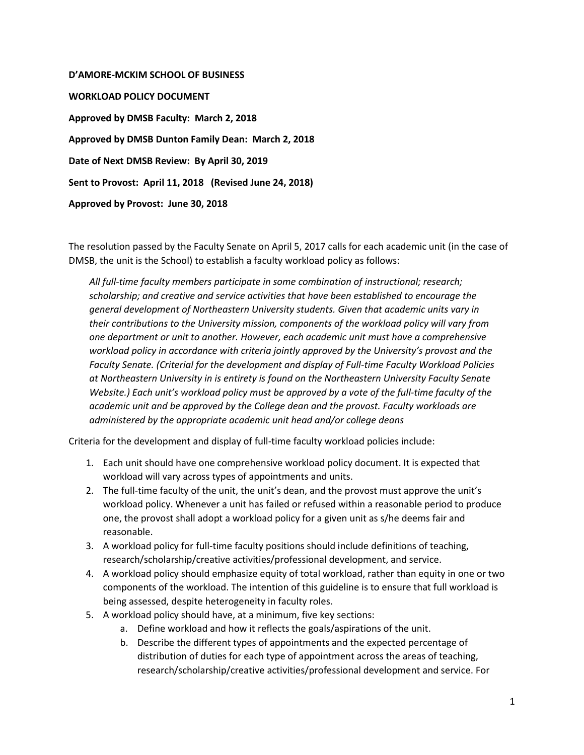**D'AMORE-MCKIM SCHOOL OF BUSINESS WORKLOAD POLICY DOCUMENT Approved by DMSB Faculty: March 2, 2018 Approved by DMSB Dunton Family Dean: March 2, 2018 Date of Next DMSB Review: By April 30, 2019 Sent to Provost: April 11, 2018 (Revised June 24, 2018) Approved by Provost: June 30, 2018** 

The resolution passed by the Faculty Senate on April 5, 2017 calls for each academic unit (in the case of DMSB, the unit is the School) to establish a faculty workload policy as follows:

*All full-time faculty members participate in some combination of instructional; research; scholarship; and creative and service activities that have been established to encourage the general development of Northeastern University students. Given that academic units vary in their contributions to the University mission, components of the workload policy will vary from one department or unit to another. However, each academic unit must have a comprehensive workload policy in accordance with criteria jointly approved by the University's provost and the Faculty Senate. (Criterial for the development and display of Full-time Faculty Workload Policies at Northeastern University in is entirety is found on the Northeastern University Faculty Senate Website.) Each unit's workload policy must be approved by a vote of the full-time faculty of the academic unit and be approved by the College dean and the provost. Faculty workloads are administered by the appropriate academic unit head and/or college deans*

Criteria for the development and display of full-time faculty workload policies include:

- 1. Each unit should have one comprehensive workload policy document. It is expected that workload will vary across types of appointments and units.
- 2. The full-time faculty of the unit, the unit's dean, and the provost must approve the unit's workload policy. Whenever a unit has failed or refused within a reasonable period to produce one, the provost shall adopt a workload policy for a given unit as s/he deems fair and reasonable.
- 3. A workload policy for full-time faculty positions should include definitions of teaching, research/scholarship/creative activities/professional development, and service.
- 4. A workload policy should emphasize equity of total workload, rather than equity in one or two components of the workload. The intention of this guideline is to ensure that full workload is being assessed, despite heterogeneity in faculty roles.
- 5. A workload policy should have, at a minimum, five key sections:
	- a. Define workload and how it reflects the goals/aspirations of the unit.
	- b. Describe the different types of appointments and the expected percentage of distribution of duties for each type of appointment across the areas of teaching, research/scholarship/creative activities/professional development and service. For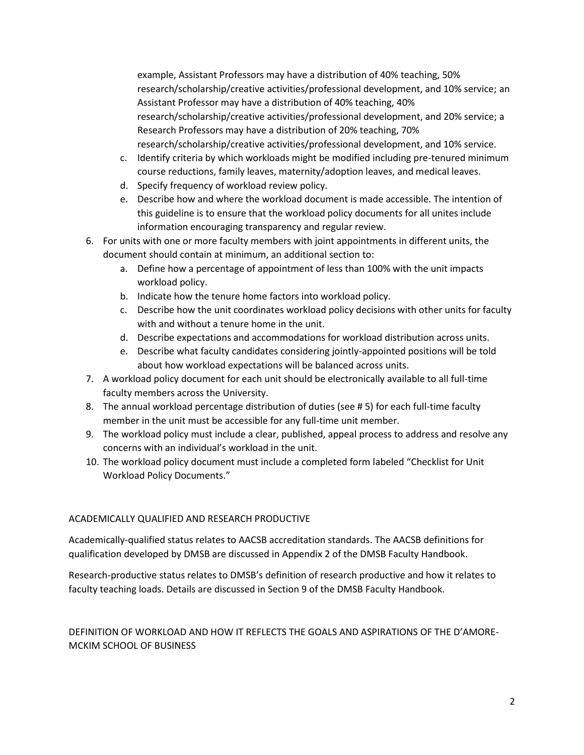example, Assistant Professors may have a distribution of 40% teaching, 50% research/scholarship/creative activities/professional development, and 10% service; an Assistant Professor may have a distribution of 40% teaching, 40% research/scholarship/creative activities/professional development, and 20% service; a Research Professors may have a distribution of 20% teaching, 70% research/scholarship/creative activities/professional development, and 10% service.

- c. Identify criteria by which workloads might be modified including pre-tenured minimum course reductions, family leaves, maternity/adoption leaves, and medical leaves.
- d. Specify frequency of workload review policy.
- e. Describe how and where the workload document is made accessible. The intention of this guideline is to ensure that the workload policy documents for all unites include information encouraging transparency and regular review.
- 6. For units with one or more faculty members with joint appointments in different units, the document should contain at minimum, an additional section to:
	- a. Define how a percentage of appointment of less than 100% with the unit impacts workload policy.
	- b. Indicate how the tenure home factors into workload policy.
	- c. Describe how the unit coordinates workload policy decisions with other units for faculty with and without a tenure home in the unit.
	- d. Describe expectations and accommodations for workload distribution across units.
	- e. Describe what faculty candidates considering jointly-appointed positions will be told about how workload expectations will be balanced across units.
- 7. A workload policy document for each unit should be electronically available to all full-time faculty members across the University.
- 8. The annual workload percentage distribution of duties (see # 5) for each full-time faculty member in the unit must be accessible for any full-time unit member.
- 9. The workload policy must include a clear, published, appeal process to address and resolve any concerns with an individual's workload in the unit.
- 10. The workload policy document must include a completed form labeled "Checklist for Unit Workload Policy Documents."

# ACADEMICALLY QUALIFIED AND RESEARCH PRODUCTIVE

Academically-qualified status relates to AACSB accreditation standards. The AACSB definitions for qualification developed by DMSB are discussed in Appendix 2 of the DMSB Faculty Handbook.

Research-productive status relates to DMSB's definition of research productive and how it relates to faculty teaching loads. Details are discussed in Section 9 of the DMSB Faculty Handbook.

# DEFINITION OF WORKLOAD AND HOW IT REFLECTS THE GOALS AND ASPIRATIONS OF THE D'AMORE-MCKIM SCHOOL OF BUSINESS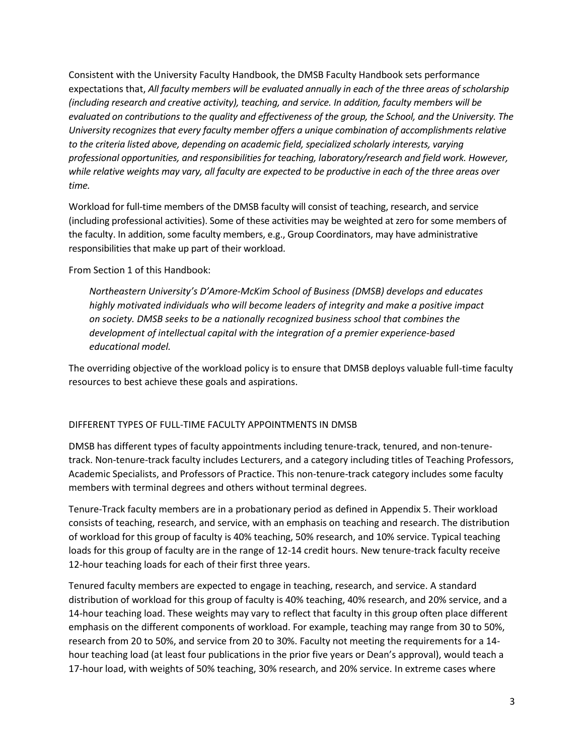Consistent with the University Faculty Handbook, the DMSB Faculty Handbook sets performance expectations that, *All faculty members will be evaluated annually in each of the three areas of scholarship (including research and creative activity), teaching, and service. In addition, faculty members will be evaluated on contributions to the quality and effectiveness of the group, the School, and the University. The University recognizes that every faculty member offers a unique combination of accomplishments relative to the criteria listed above, depending on academic field, specialized scholarly interests, varying professional opportunities, and responsibilities for teaching, laboratory/research and field work. However, while relative weights may vary, all faculty are expected to be productive in each of the three areas over time.*

Workload for full-time members of the DMSB faculty will consist of teaching, research, and service (including professional activities). Some of these activities may be weighted at zero for some members of the faculty. In addition, some faculty members, e.g., Group Coordinators, may have administrative responsibilities that make up part of their workload.

From Section 1 of this Handbook:

*Northeastern University's D'Amore-McKim School of Business (DMSB) develops and educates highly motivated individuals who will become leaders of integrity and make a positive impact on society. DMSB seeks to be a nationally recognized business school that combines the development of intellectual capital with the integration of a premier experience-based educational model.*

The overriding objective of the workload policy is to ensure that DMSB deploys valuable full-time faculty resources to best achieve these goals and aspirations.

## DIFFERENT TYPES OF FULL-TIME FACULTY APPOINTMENTS IN DMSB

DMSB has different types of faculty appointments including tenure-track, tenured, and non-tenuretrack. Non-tenure-track faculty includes Lecturers, and a category including titles of Teaching Professors, Academic Specialists, and Professors of Practice. This non-tenure-track category includes some faculty members with terminal degrees and others without terminal degrees.

Tenure-Track faculty members are in a probationary period as defined in Appendix 5. Their workload consists of teaching, research, and service, with an emphasis on teaching and research. The distribution of workload for this group of faculty is 40% teaching, 50% research, and 10% service. Typical teaching loads for this group of faculty are in the range of 12-14 credit hours. New tenure-track faculty receive 12-hour teaching loads for each of their first three years.

Tenured faculty members are expected to engage in teaching, research, and service. A standard distribution of workload for this group of faculty is 40% teaching, 40% research, and 20% service, and a 14-hour teaching load. These weights may vary to reflect that faculty in this group often place different emphasis on the different components of workload. For example, teaching may range from 30 to 50%, research from 20 to 50%, and service from 20 to 30%. Faculty not meeting the requirements for a 14 hour teaching load (at least four publications in the prior five years or Dean's approval), would teach a 17-hour load, with weights of 50% teaching, 30% research, and 20% service. In extreme cases where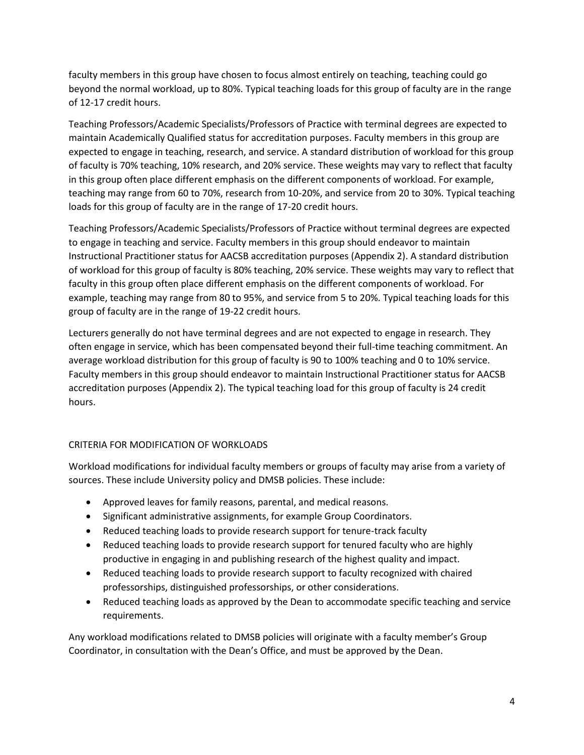faculty members in this group have chosen to focus almost entirely on teaching, teaching could go beyond the normal workload, up to 80%. Typical teaching loads for this group of faculty are in the range of 12-17 credit hours.

Teaching Professors/Academic Specialists/Professors of Practice with terminal degrees are expected to maintain Academically Qualified status for accreditation purposes. Faculty members in this group are expected to engage in teaching, research, and service. A standard distribution of workload for this group of faculty is 70% teaching, 10% research, and 20% service. These weights may vary to reflect that faculty in this group often place different emphasis on the different components of workload. For example, teaching may range from 60 to 70%, research from 10-20%, and service from 20 to 30%. Typical teaching loads for this group of faculty are in the range of 17-20 credit hours.

Teaching Professors/Academic Specialists/Professors of Practice without terminal degrees are expected to engage in teaching and service. Faculty members in this group should endeavor to maintain Instructional Practitioner status for AACSB accreditation purposes (Appendix 2). A standard distribution of workload for this group of faculty is 80% teaching, 20% service. These weights may vary to reflect that faculty in this group often place different emphasis on the different components of workload. For example, teaching may range from 80 to 95%, and service from 5 to 20%. Typical teaching loads for this group of faculty are in the range of 19-22 credit hours.

Lecturers generally do not have terminal degrees and are not expected to engage in research. They often engage in service, which has been compensated beyond their full-time teaching commitment. An average workload distribution for this group of faculty is 90 to 100% teaching and 0 to 10% service. Faculty members in this group should endeavor to maintain Instructional Practitioner status for AACSB accreditation purposes (Appendix 2). The typical teaching load for this group of faculty is 24 credit hours.

## CRITERIA FOR MODIFICATION OF WORKLOADS

Workload modifications for individual faculty members or groups of faculty may arise from a variety of sources. These include University policy and DMSB policies. These include:

- Approved leaves for family reasons, parental, and medical reasons.
- Significant administrative assignments, for example Group Coordinators.
- Reduced teaching loads to provide research support for tenure-track faculty
- Reduced teaching loads to provide research support for tenured faculty who are highly productive in engaging in and publishing research of the highest quality and impact.
- Reduced teaching loads to provide research support to faculty recognized with chaired professorships, distinguished professorships, or other considerations.
- Reduced teaching loads as approved by the Dean to accommodate specific teaching and service requirements.

Any workload modifications related to DMSB policies will originate with a faculty member's Group Coordinator, in consultation with the Dean's Office, and must be approved by the Dean.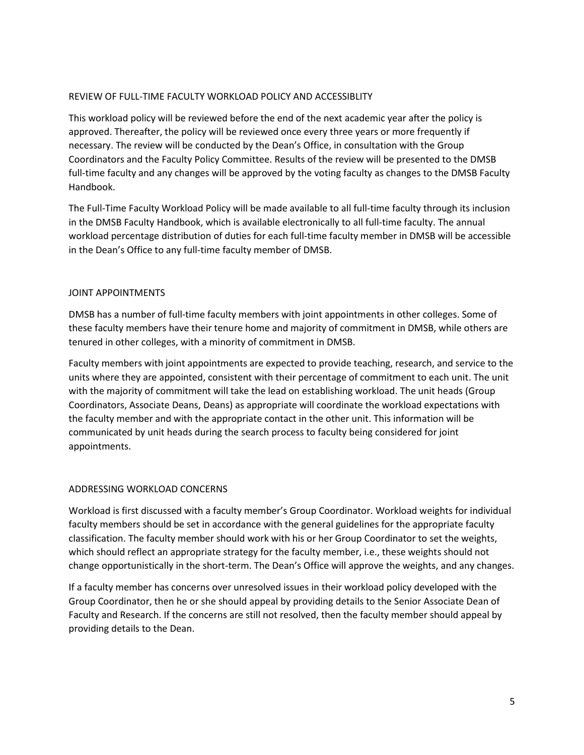### REVIEW OF FULL-TIME FACULTY WORKLOAD POLICY AND ACCESSIBLITY

This workload policy will be reviewed before the end of the next academic year after the policy is approved. Thereafter, the policy will be reviewed once every three years or more frequently if necessary. The review will be conducted by the Dean's Office, in consultation with the Group Coordinators and the Faculty Policy Committee. Results of the review will be presented to the DMSB full-time faculty and any changes will be approved by the voting faculty as changes to the DMSB Faculty Handbook.

The Full-Time Faculty Workload Policy will be made available to all full-time faculty through its inclusion in the DMSB Faculty Handbook, which is available electronically to all full-time faculty. The annual workload percentage distribution of duties for each full-time faculty member in DMSB will be accessible in the Dean's Office to any full-time faculty member of DMSB.

### JOINT APPOINTMENTS

DMSB has a number of full-time faculty members with joint appointments in other colleges. Some of these faculty members have their tenure home and majority of commitment in DMSB, while others are tenured in other colleges, with a minority of commitment in DMSB.

Faculty members with joint appointments are expected to provide teaching, research, and service to the units where they are appointed, consistent with their percentage of commitment to each unit. The unit with the majority of commitment will take the lead on establishing workload. The unit heads (Group Coordinators, Associate Deans, Deans) as appropriate will coordinate the workload expectations with the faculty member and with the appropriate contact in the other unit. This information will be communicated by unit heads during the search process to faculty being considered for joint appointments.

#### ADDRESSING WORKLOAD CONCERNS

Workload is first discussed with a faculty member's Group Coordinator. Workload weights for individual faculty members should be set in accordance with the general guidelines for the appropriate faculty classification. The faculty member should work with his or her Group Coordinator to set the weights, which should reflect an appropriate strategy for the faculty member, i.e., these weights should not change opportunistically in the short-term. The Dean's Office will approve the weights, and any changes.

If a faculty member has concerns over unresolved issues in their workload policy developed with the Group Coordinator, then he or she should appeal by providing details to the Senior Associate Dean of Faculty and Research. If the concerns are still not resolved, then the faculty member should appeal by providing details to the Dean.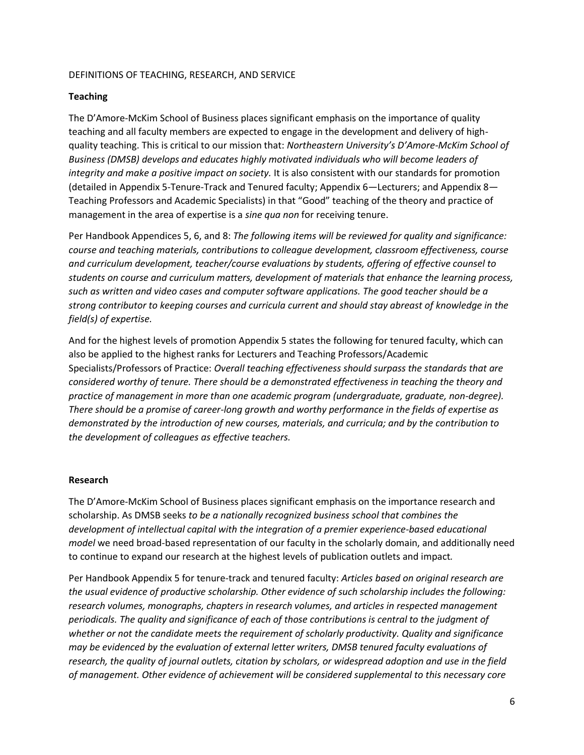#### DEFINITIONS OF TEACHING, RESEARCH, AND SERVICE

### **Teaching**

The D'Amore-McKim School of Business places significant emphasis on the importance of quality teaching and all faculty members are expected to engage in the development and delivery of highquality teaching. This is critical to our mission that: *Northeastern University's D'Amore-McKim School of Business (DMSB) develops and educates highly motivated individuals who will become leaders of integrity and make a positive impact on society.* It is also consistent with our standards for promotion (detailed in Appendix 5-Tenure-Track and Tenured faculty; Appendix 6—Lecturers; and Appendix 8— Teaching Professors and Academic Specialists) in that "Good" teaching of the theory and practice of management in the area of expertise is a *sine qua non* for receiving tenure.

Per Handbook Appendices 5, 6, and 8: *The following items will be reviewed for quality and significance: course and teaching materials, contributions to colleague development, classroom effectiveness, course and curriculum development, teacher/course evaluations by students, offering of effective counsel to students on course and curriculum matters, development of materials that enhance the learning process, such as written and video cases and computer software applications. The good teacher should be a strong contributor to keeping courses and curricula current and should stay abreast of knowledge in the field(s) of expertise.* 

And for the highest levels of promotion Appendix 5 states the following for tenured faculty, which can also be applied to the highest ranks for Lecturers and Teaching Professors/Academic Specialists/Professors of Practice: *Overall teaching effectiveness should surpass the standards that are considered worthy of tenure. There should be a demonstrated effectiveness in teaching the theory and practice of management in more than one academic program (undergraduate, graduate, non-degree). There should be a promise of career-long growth and worthy performance in the fields of expertise as demonstrated by the introduction of new courses, materials, and curricula; and by the contribution to the development of colleagues as effective teachers.*

#### **Research**

The D'Amore-McKim School of Business places significant emphasis on the importance research and scholarship. As DMSB seeks *to be a nationally recognized business school that combines the development of intellectual capital with the integration of a premier experience-based educational model* we need broad-based representation of our faculty in the scholarly domain, and additionally need to continue to expand our research at the highest levels of publication outlets and impact*.* 

Per Handbook Appendix 5 for tenure-track and tenured faculty: *Articles based on original research are the usual evidence of productive scholarship. Other evidence of such scholarship includes the following: research volumes, monographs, chapters in research volumes, and articles in respected management periodicals. The quality and significance of each of those contributions is central to the judgment of whether or not the candidate meets the requirement of scholarly productivity. Quality and significance may be evidenced by the evaluation of external letter writers, DMSB tenured faculty evaluations of research, the quality of journal outlets, citation by scholars, or widespread adoption and use in the field of management. Other evidence of achievement will be considered supplemental to this necessary core*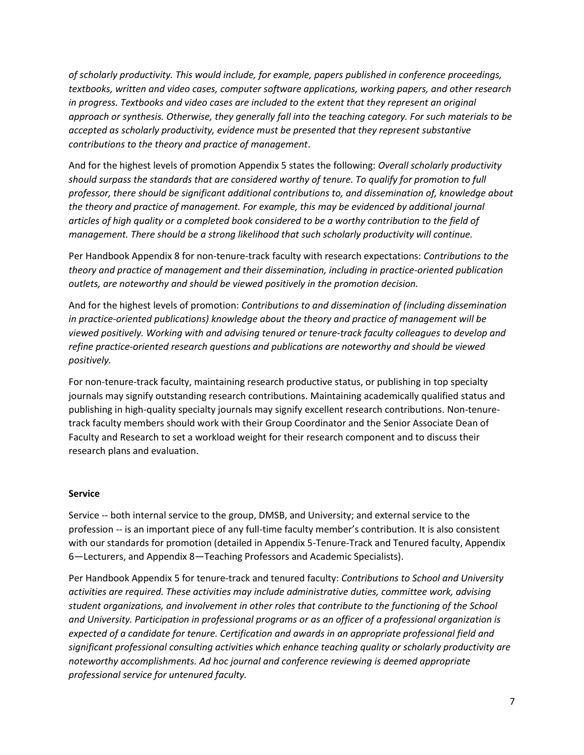*of scholarly productivity. This would include, for example, papers published in conference proceedings, textbooks, written and video cases, computer software applications, working papers, and other research in progress. Textbooks and video cases are included to the extent that they represent an original approach or synthesis. Otherwise, they generally fall into the teaching category. For such materials to be accepted as scholarly productivity, evidence must be presented that they represent substantive contributions to the theory and practice of management*.

And for the highest levels of promotion Appendix 5 states the following: *Overall scholarly productivity should surpass the standards that are considered worthy of tenure. To qualify for promotion to full professor, there should be significant additional contributions to, and dissemination of, knowledge about the theory and practice of management. For example, this may be evidenced by additional journal articles of high quality or a completed book considered to be a worthy contribution to the field of management. There should be a strong likelihood that such scholarly productivity will continue.*

Per Handbook Appendix 8 for non-tenure-track faculty with research expectations: *Contributions to the theory and practice of management and their dissemination, including in practice-oriented publication outlets, are noteworthy and should be viewed positively in the promotion decision.*

And for the highest levels of promotion: *Contributions to and dissemination of (including dissemination in practice-oriented publications) knowledge about the theory and practice of management will be viewed positively. Working with and advising tenured or tenure-track faculty colleagues to develop and refine practice-oriented research questions and publications are noteworthy and should be viewed positively.*

For non-tenure-track faculty, maintaining research productive status, or publishing in top specialty journals may signify outstanding research contributions. Maintaining academically qualified status and publishing in high-quality specialty journals may signify excellent research contributions. Non-tenuretrack faculty members should work with their Group Coordinator and the Senior Associate Dean of Faculty and Research to set a workload weight for their research component and to discuss their research plans and evaluation.

#### **Service**

Service -- both internal service to the group, DMSB, and University; and external service to the profession -- is an important piece of any full-time faculty member's contribution. It is also consistent with our standards for promotion (detailed in Appendix 5-Tenure-Track and Tenured faculty, Appendix 6—Lecturers, and Appendix 8—Teaching Professors and Academic Specialists).

Per Handbook Appendix 5 for tenure-track and tenured faculty: *Contributions to School and University activities are required. These activities may include administrative duties, committee work, advising student organizations, and involvement in other roles that contribute to the functioning of the School and University. Participation in professional programs or as an officer of a professional organization is expected of a candidate for tenure. Certification and awards in an appropriate professional field and significant professional consulting activities which enhance teaching quality or scholarly productivity are noteworthy accomplishments. Ad hoc journal and conference reviewing is deemed appropriate professional service for untenured faculty.*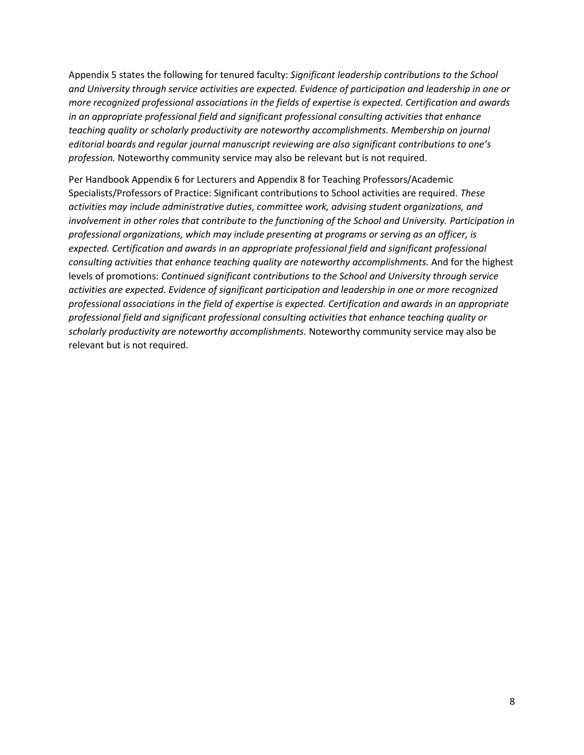Appendix 5 states the following for tenured faculty: *Significant leadership contributions to the School and University through service activities are expected. Evidence of participation and leadership in one or more recognized professional associations in the fields of expertise is expected. Certification and awards in an appropriate professional field and significant professional consulting activities that enhance teaching quality or scholarly productivity are noteworthy accomplishments. Membership on journal editorial boards and regular journal manuscript reviewing are also significant contributions to one's profession.* Noteworthy community service may also be relevant but is not required.

Per Handbook Appendix 6 for Lecturers and Appendix 8 for Teaching Professors/Academic Specialists/Professors of Practice: Significant contributions to School activities are required. *These activities may include administrative duties, committee work, advising student organizations, and involvement in other roles that contribute to the functioning of the School and University. Participation in professional organizations, which may include presenting at programs or serving as an officer, is expected. Certification and awards in an appropriate professional field and significant professional consulting activities that enhance teaching quality are noteworthy accomplishments.* And for the highest levels of promotions: *Continued significant contributions to the School and University through service activities are expected. Evidence of significant participation and leadership in one or more recognized professional associations in the field of expertise is expected. Certification and awards in an appropriate professional field and significant professional consulting activities that enhance teaching quality or scholarly productivity are noteworthy accomplishments.* Noteworthy community service may also be relevant but is not required.